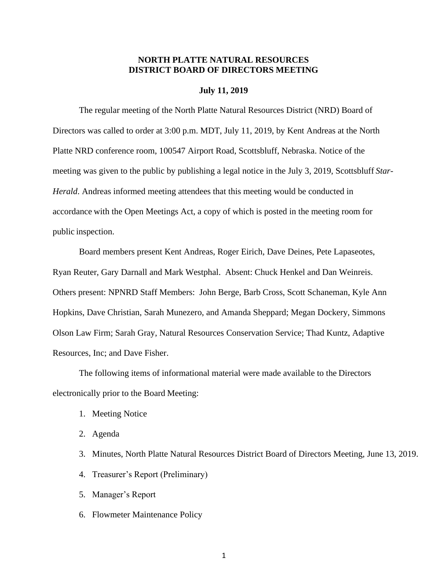## **NORTH PLATTE NATURAL RESOURCES DISTRICT BOARD OF DIRECTORS MEETING**

## **July 11, 2019**

The regular meeting of the North Platte Natural Resources District (NRD) Board of Directors was called to order at 3:00 p.m. MDT, July 11, 2019, by Kent Andreas at the North Platte NRD conference room, 100547 Airport Road, Scottsbluff, Nebraska. Notice of the meeting was given to the public by publishing a legal notice in the July 3, 2019, Scottsbluff *Star-Herald*. Andreas informed meeting attendees that this meeting would be conducted in accordance with the Open Meetings Act, a copy of which is posted in the meeting room for public inspection.

Board members present Kent Andreas, Roger Eirich, Dave Deines, Pete Lapaseotes, Ryan Reuter, Gary Darnall and Mark Westphal. Absent: Chuck Henkel and Dan Weinreis. Others present: NPNRD Staff Members: John Berge, Barb Cross, Scott Schaneman, Kyle Ann Hopkins, Dave Christian, Sarah Munezero, and Amanda Sheppard; Megan Dockery, Simmons Olson Law Firm; Sarah Gray, Natural Resources Conservation Service; Thad Kuntz, Adaptive Resources, Inc; and Dave Fisher.

The following items of informational material were made available to the Directors electronically prior to the Board Meeting:

- 1. Meeting Notice
- 2. Agenda
- 3. Minutes, North Platte Natural Resources District Board of Directors Meeting, June 13, 2019.
- 4. Treasurer's Report (Preliminary)
- 5. Manager's Report
- 6. Flowmeter Maintenance Policy

1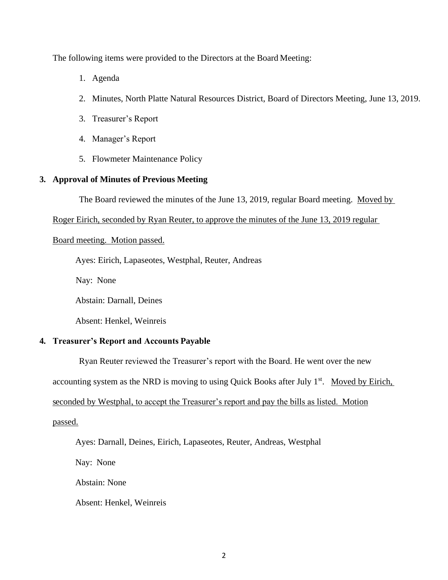The following items were provided to the Directors at the Board Meeting:

- 1. Agenda
- 2. Minutes, North Platte Natural Resources District, Board of Directors Meeting, June 13, 2019.
- 3. Treasurer's Report
- 4. Manager's Report
- 5. Flowmeter Maintenance Policy

## **3. Approval of Minutes of Previous Meeting**

The Board reviewed the minutes of the June 13, 2019, regular Board meeting. Moved by

Roger Eirich, seconded by Ryan Reuter, to approve the minutes of the June 13, 2019 regular

### Board meeting. Motion passed.

Ayes: Eirich, Lapaseotes, Westphal, Reuter, Andreas

Nay: None

Abstain: Darnall, Deines

Absent: Henkel, Weinreis

## **4. Treasurer's Report and Accounts Payable**

Ryan Reuter reviewed the Treasurer's report with the Board. He went over the new

accounting system as the NRD is moving to using Quick Books after July  $1<sup>st</sup>$ . Moved by Eirich,

### seconded by Westphal, to accept the Treasurer's report and pay the bills as listed. Motion

passed.

Ayes: Darnall, Deines, Eirich, Lapaseotes, Reuter, Andreas, Westphal

Nay: None

Abstain: None

Absent: Henkel, Weinreis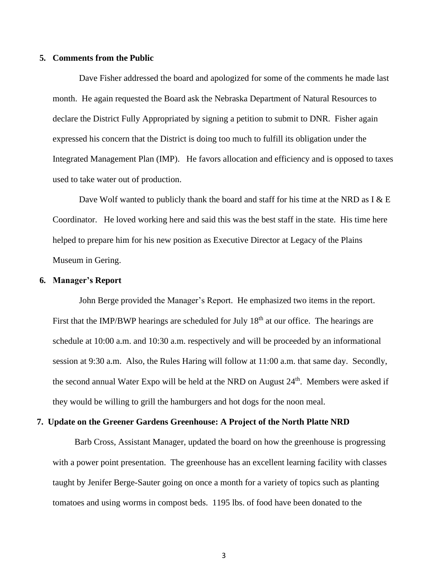#### **5. Comments from the Public**

Dave Fisher addressed the board and apologized for some of the comments he made last month. He again requested the Board ask the Nebraska Department of Natural Resources to declare the District Fully Appropriated by signing a petition to submit to DNR. Fisher again expressed his concern that the District is doing too much to fulfill its obligation under the Integrated Management Plan (IMP). He favors allocation and efficiency and is opposed to taxes used to take water out of production.

Dave Wolf wanted to publicly thank the board and staff for his time at the NRD as I  $\&$  E Coordinator. He loved working here and said this was the best staff in the state. His time here helped to prepare him for his new position as Executive Director at Legacy of the Plains Museum in Gering.

#### **6. Manager's Report**

John Berge provided the Manager's Report. He emphasized two items in the report. First that the IMP/BWP hearings are scheduled for July  $18<sup>th</sup>$  at our office. The hearings are schedule at 10:00 a.m. and 10:30 a.m. respectively and will be proceeded by an informational session at 9:30 a.m. Also, the Rules Haring will follow at 11:00 a.m. that same day. Secondly, the second annual Water Expo will be held at the NRD on August  $24<sup>th</sup>$ . Members were asked if they would be willing to grill the hamburgers and hot dogs for the noon meal.

#### **7. Update on the Greener Gardens Greenhouse: A Project of the North Platte NRD**

 Barb Cross, Assistant Manager, updated the board on how the greenhouse is progressing with a power point presentation. The greenhouse has an excellent learning facility with classes taught by Jenifer Berge-Sauter going on once a month for a variety of topics such as planting tomatoes and using worms in compost beds. 1195 lbs. of food have been donated to the

3